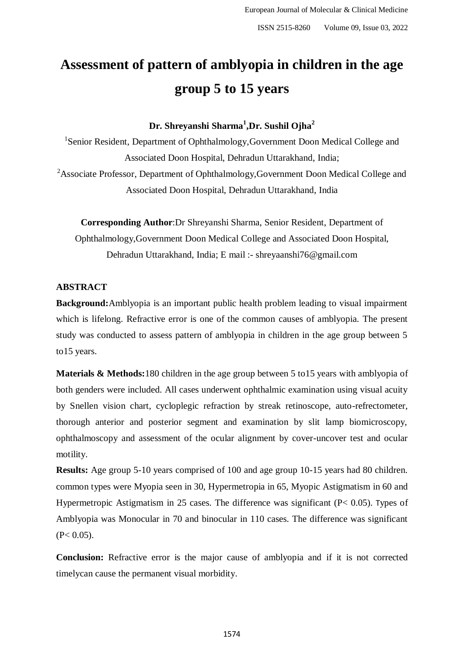# **Assessment of pattern of amblyopia in children in the age group 5 to 15 years**

**Dr. Shreyanshi Sharma<sup>1</sup> ,Dr. Sushil Ojha<sup>2</sup>**

<sup>1</sup>Senior Resident, Department of Ophthalmology, Government Doon Medical College and Associated Doon Hospital, Dehradun Uttarakhand, India; <sup>2</sup>Associate Professor, Department of Ophthalmology,Government Doon Medical College and Associated Doon Hospital, Dehradun Uttarakhand, India

**Corresponding Author**:Dr Shreyanshi Sharma, Senior Resident, Department of Ophthalmology,Government Doon Medical College and Associated Doon Hospital, Dehradun Uttarakhand, India; E mail :- shreyaanshi76@gmail.com

## **ABSTRACT**

**Background:**Amblyopia is an important public health problem leading to visual impairment which is lifelong. Refractive error is one of the common causes of amblyopia. The present study was conducted to assess pattern of amblyopia in children in the age group between 5 to15 years.

**Materials & Methods:**180 children in the age group between 5 to15 years with amblyopia of both genders were included. All cases underwent ophthalmic examination using visual acuity by Snellen vision chart, cycloplegic refraction by streak retinoscope, auto-refrectometer, thorough anterior and posterior segment and examination by slit lamp biomicroscopy, ophthalmoscopy and assessment of the ocular alignment by cover-uncover test and ocular motility.

**Results:** Age group 5-10 years comprised of 100 and age group 10-15 years had 80 children. common types were Myopia seen in 30, Hypermetropia in 65, Myopic Astigmatism in 60 and Hypermetropic Astigmatism in 25 cases. The difference was significant (P< 0.05). Types of Amblyopia was Monocular in 70 and binocular in 110 cases. The difference was significant  $(P< 0.05)$ .

**Conclusion:** Refractive error is the major cause of amblyopia and if it is not corrected timelycan cause the permanent visual morbidity.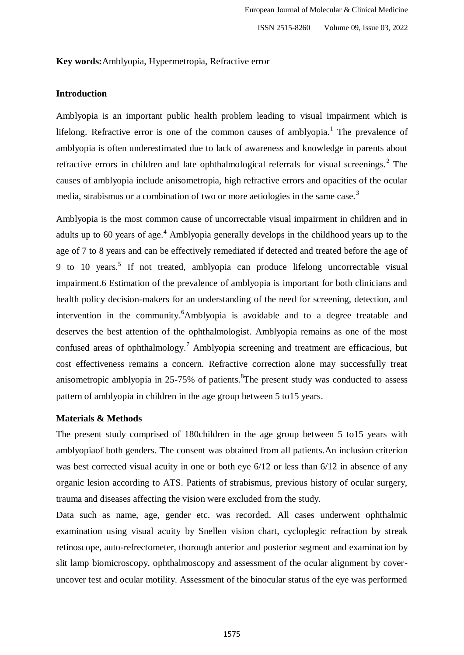### **Key words:**Amblyopia, Hypermetropia, Refractive error

## **Introduction**

Amblyopia is an important public health problem leading to visual impairment which is lifelong. Refractive error is one of the common causes of amblyopia.<sup>1</sup> The prevalence of amblyopia is often underestimated due to lack of awareness and knowledge in parents about refractive errors in children and late ophthalmological referrals for visual screenings.<sup>2</sup> The causes of amblyopia include anisometropia, high refractive errors and opacities of the ocular media, strabismus or a combination of two or more aetiologies in the same case.<sup>3</sup>

Amblyopia is the most common cause of uncorrectable visual impairment in children and in adults up to 60 years of age.<sup>4</sup> Amblyopia generally develops in the childhood years up to the age of 7 to 8 years and can be effectively remediated if detected and treated before the age of 9 to 10 years.<sup>5</sup> If not treated, amblyopia can produce lifelong uncorrectable visual impairment.6 Estimation of the prevalence of amblyopia is important for both clinicians and health policy decision-makers for an understanding of the need for screening, detection, and intervention in the community. <sup>6</sup>Amblyopia is avoidable and to a degree treatable and deserves the best attention of the ophthalmologist. Amblyopia remains as one of the most confused areas of ophthalmology.<sup>7</sup> Amblyopia screening and treatment are efficacious, but cost effectiveness remains a concern. Refractive correction alone may successfully treat anisometropic amblyopia in  $25-75\%$  of patients. <sup>8</sup>The present study was conducted to assess pattern of amblyopia in children in the age group between 5 to15 years.

#### **Materials & Methods**

The present study comprised of 180children in the age group between 5 to15 years with amblyopiaof both genders. The consent was obtained from all patients.An inclusion criterion was best corrected visual acuity in one or both eye  $6/12$  or less than  $6/12$  in absence of any organic lesion according to ATS. Patients of strabismus, previous history of ocular surgery, trauma and diseases affecting the vision were excluded from the study.

Data such as name, age, gender etc. was recorded. All cases underwent ophthalmic examination using visual acuity by Snellen vision chart, cycloplegic refraction by streak retinoscope, auto-refrectometer, thorough anterior and posterior segment and examination by slit lamp biomicroscopy, ophthalmoscopy and assessment of the ocular alignment by coveruncover test and ocular motility. Assessment of the binocular status of the eye was performed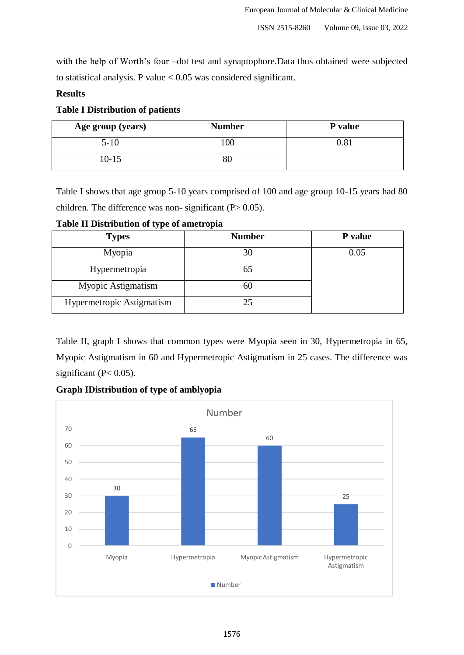with the help of Worth's four –dot test and synaptophore.Data thus obtained were subjected to statistical analysis. P value  $< 0.05$  was considered significant.

## **Results**

## **Table I Distribution of patients**

| Age group (years) | <b>Number</b> | P value |
|-------------------|---------------|---------|
| $5 - 10$          | 100           | 0.81    |
| 10-15             | $80\,$        |         |

Table I shows that age group 5-10 years comprised of 100 and age group 10-15 years had 80 children. The difference was non- significant  $(P > 0.05)$ .

**Table II Distribution of type of ametropia**

| <b>Types</b>              | <b>Number</b> | P value |
|---------------------------|---------------|---------|
| Myopia                    | 30            | 0.05    |
| Hypermetropia             |               |         |
| Myopic Astigmatism        |               |         |
| Hypermetropic Astigmatism |               |         |

Table II, graph I shows that common types were Myopia seen in 30, Hypermetropia in 65, Myopic Astigmatism in 60 and Hypermetropic Astigmatism in 25 cases. The difference was significant (P< 0.05).



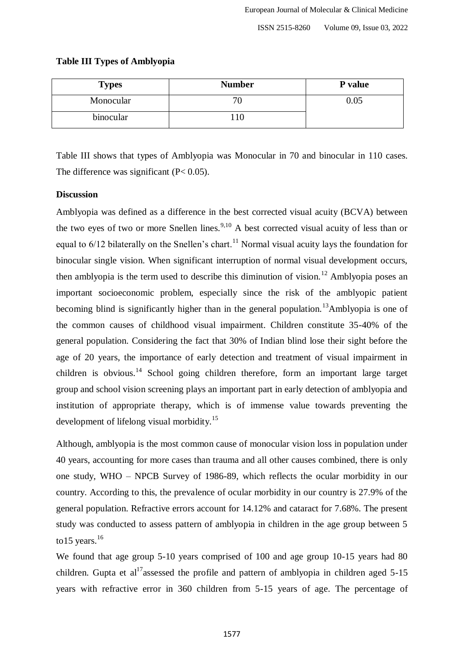| <b>Types</b> | <b>Number</b> | P value  |
|--------------|---------------|----------|
| Monocular    |               | $0.05\,$ |
| binocular    |               |          |

## **Table III Types of Amblyopia**

Table III shows that types of Amblyopia was Monocular in 70 and binocular in 110 cases. The difference was significant  $(P< 0.05)$ .

## **Discussion**

Amblyopia was defined as a difference in the best corrected visual acuity (BCVA) between the two eyes of two or more Snellen lines.<sup>9,10</sup> A best corrected visual acuity of less than or equal to  $6/12$  bilaterally on the Snellen's chart.<sup>11</sup> Normal visual acuity lays the foundation for binocular single vision. When significant interruption of normal visual development occurs, then amblyopia is the term used to describe this diminution of vision.<sup>12</sup> Amblyopia poses an important socioeconomic problem, especially since the risk of the amblyopic patient becoming blind is significantly higher than in the general population.<sup>13</sup>Amblyopia is one of the common causes of childhood visual impairment. Children constitute 35-40% of the general population. Considering the fact that 30% of Indian blind lose their sight before the age of 20 years, the importance of early detection and treatment of visual impairment in children is obvious.<sup>14</sup> School going children therefore, form an important large target group and school vision screening plays an important part in early detection of amblyopia and institution of appropriate therapy, which is of immense value towards preventing the development of lifelong visual morbidity.<sup>15</sup>

Although, amblyopia is the most common cause of monocular vision loss in population under 40 years, accounting for more cases than trauma and all other causes combined, there is only one study, WHO – NPCB Survey of 1986-89, which reflects the ocular morbidity in our country. According to this, the prevalence of ocular morbidity in our country is 27.9% of the general population. Refractive errors account for 14.12% and cataract for 7.68%. The present study was conducted to assess pattern of amblyopia in children in the age group between 5 to 15 years. $16$ 

We found that age group 5-10 years comprised of 100 and age group 10-15 years had 80 children. Gupta et al<sup>17</sup>assessed the profile and pattern of amblyopia in children aged 5-15 years with refractive error in 360 children from 5-15 years of age. The percentage of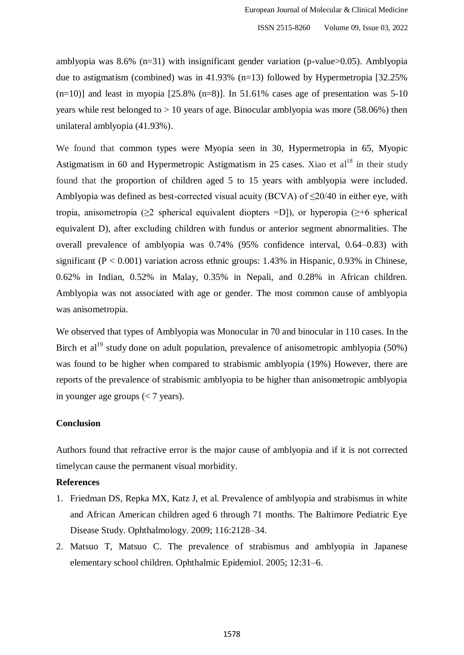amblyopia was 8.6% (n=31) with insignificant gender variation (p-value>0.05). Amblyopia due to astigmatism (combined) was in 41.93% (n=13) followed by Hypermetropia [32.25%  $(n=10)$ ] and least in myopia [25.8%  $(n=8)$ ]. In 51.61% cases age of presentation was 5-10 years while rest belonged to  $> 10$  years of age. Binocular amblyopia was more (58.06%) then unilateral amblyopia (41.93%).

We found that common types were Myopia seen in 30, Hypermetropia in 65, Myopic Astigmatism in 60 and Hypermetropic Astigmatism in 25 cases. Xiao et  $al<sup>18</sup>$  in their study found that the proportion of children aged 5 to 15 years with amblyopia were included. Amblyopia was defined as best-corrected visual acuity (BCVA) of  $\leq$ 20/40 in either eye, with tropia, anisometropia ( $\geq 2$  spherical equivalent diopters =D]), or hyperopia ( $\geq +6$  spherical equivalent D), after excluding children with fundus or anterior segment abnormalities. The overall prevalence of amblyopia was 0.74% (95% confidence interval, 0.64–0.83) with significant ( $P < 0.001$ ) variation across ethnic groups: 1.43% in Hispanic, 0.93% in Chinese, 0.62% in Indian, 0.52% in Malay, 0.35% in Nepali, and 0.28% in African children. Amblyopia was not associated with age or gender. The most common cause of amblyopia was anisometropia.

We observed that types of Amblyopia was Monocular in 70 and binocular in 110 cases. In the Birch et al<sup>19</sup> study done on adult population, prevalence of anisometropic amblyopia (50%) was found to be higher when compared to strabismic amblyopia (19%) However, there are reports of the prevalence of strabismic amblyopia to be higher than anisometropic amblyopia in younger age groups  $(< 7$  years).

### **Conclusion**

Authors found that refractive error is the major cause of amblyopia and if it is not corrected timelycan cause the permanent visual morbidity.

## **References**

- 1. Friedman DS, Repka MX, Katz J, et al. Prevalence of amblyopia and strabismus in white and African American children aged 6 through 71 months. The Baltimore Pediatric Eye Disease Study. Ophthalmology. 2009; 116:2128–34.
- 2. Matsuo T, Matsuo C. The prevalence of strabismus and amblyopia in Japanese elementary school children. Ophthalmic Epidemiol. 2005; 12:31–6.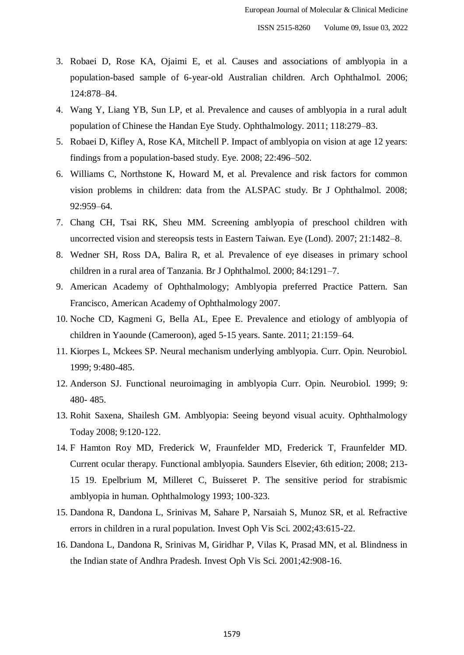- 3. Robaei D, Rose KA, Ojaimi E, et al. Causes and associations of amblyopia in a population-based sample of 6-year-old Australian children. Arch Ophthalmol. 2006; 124:878–84.
- 4. Wang Y, Liang YB, Sun LP, et al. Prevalence and causes of amblyopia in a rural adult population of Chinese the Handan Eye Study. Ophthalmology. 2011; 118:279–83.
- 5. Robaei D, Kifley A, Rose KA, Mitchell P. Impact of amblyopia on vision at age 12 years: findings from a population-based study. Eye. 2008; 22:496–502.
- 6. Williams C, Northstone K, Howard M, et al. Prevalence and risk factors for common vision problems in children: data from the ALSPAC study. Br J Ophthalmol. 2008; 92:959–64.
- 7. Chang CH, Tsai RK, Sheu MM. Screening amblyopia of preschool children with uncorrected vision and stereopsis tests in Eastern Taiwan. Eye (Lond). 2007; 21:1482–8.
- 8. Wedner SH, Ross DA, Balira R, et al. Prevalence of eye diseases in primary school children in a rural area of Tanzania. Br J Ophthalmol. 2000; 84:1291–7.
- 9. American Academy of Ophthalmology; Amblyopia preferred Practice Pattern. San Francisco, American Academy of Ophthalmology 2007.
- 10. Noche CD, Kagmeni G, Bella AL, Epee E. Prevalence and etiology of amblyopia of children in Yaounde (Cameroon), aged 5-15 years. Sante. 2011; 21:159–64.
- 11. Kiorpes L, Mckees SP. Neural mechanism underlying amblyopia. Curr. Opin. Neurobiol. 1999; 9:480-485.
- 12. Anderson SJ. Functional neuroimaging in amblyopia Curr. Opin. Neurobiol. 1999; 9: 480- 485.
- 13. Rohit Saxena, Shailesh GM. Amblyopia: Seeing beyond visual acuity. Ophthalmology Today 2008; 9:120-122.
- 14. F Hamton Roy MD, Frederick W, Fraunfelder MD, Frederick T, Fraunfelder MD. Current ocular therapy. Functional amblyopia. Saunders Elsevier, 6th edition; 2008; 213- 15 19. Epelbrium M, Milleret C, Buisseret P. The sensitive period for strabismic amblyopia in human. Ophthalmology 1993; 100-323.
- 15. Dandona R, Dandona L, Srinivas M, Sahare P, Narsaiah S, Munoz SR, et al. Refractive errors in children in a rural population. Invest Oph Vis Sci. 2002;43:615-22.
- 16. Dandona L, Dandona R, Srinivas M, Giridhar P, Vilas K, Prasad MN, et al. Blindness in the Indian state of Andhra Pradesh. Invest Oph Vis Sci. 2001;42:908-16.